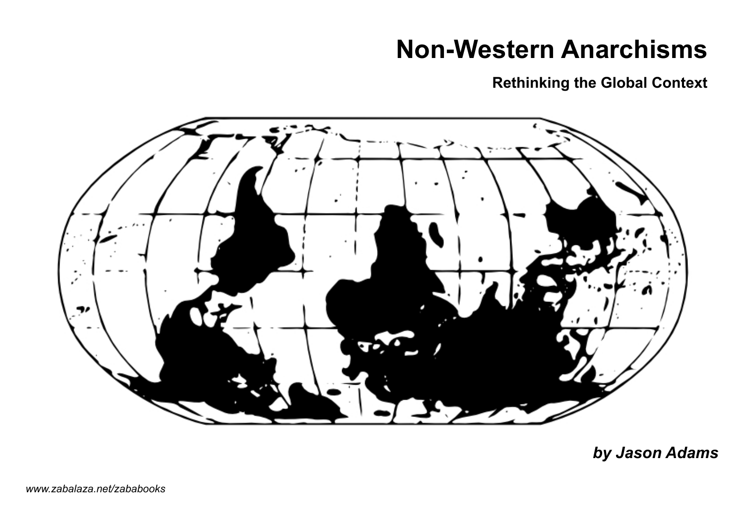# **Non-Western Anarchisms**

**Rethinking the Global Context**



*by Jason Adams*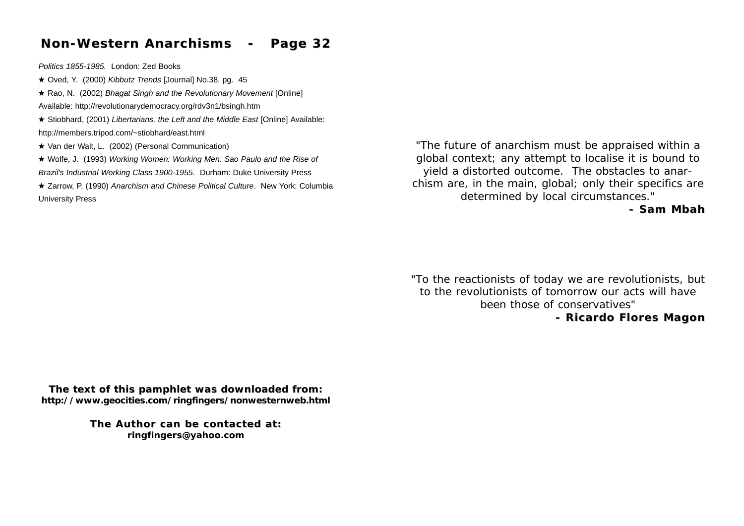# **Non-Western Anarchisms - Page 32 Non-Western Anarchisms - Page 32**

*Politics 1855-1985.* London: Zed Books

! Oved, Y. (2000) *Kibbutz Trends* [Journal] No.38, pg. 45

! Rao, N. (2002) *Bhagat Singh and the Revolutionary Movement* [Online] Available: http://revolutionarydemocracy.org/rdv3n1/bsingh.htm

- ! Stiobhard, (2001) *Libertarians, the Left and the Middle East* [Online] Available: http://members.tripod.com/~stiobhard/east.html
- $\star$  Van der Walt, L. (2002) (Personal Communication)
- ! Wolfe, J. (1993) *Working Women: Working Men: Sao Paulo and the Rise of Brazil's Industrial Working Class 1900-1955*. Durham: Duke University Press
- ! Zarrow, P. (1990) *Anarchism and Chinese Political Culture*. New York: Columbia University Press

*"The future of anarchism must be appraised within a global context; any attempt to localise it is bound to yield a distorted outcome. The obstacles to anarchism are, in the main, global; only their specifics are determined by local circumstances."*

**- Sam Mbah - Sam Mbah** 

*"To the reactionists of today we are revolutionists, but to the revolutionists of tomorrow our acts will have been those of conservatives"*

**- Ricardo Flores Magon**

**The text of this pamphlet was downloaded from: The text of this pamphlet was downloaded from: http://www.geocities.com/ringfingers/nonwesternweb.html**

> **The Author can be contacted at: The Author can be contacted at: ringfingers@yahoo.com**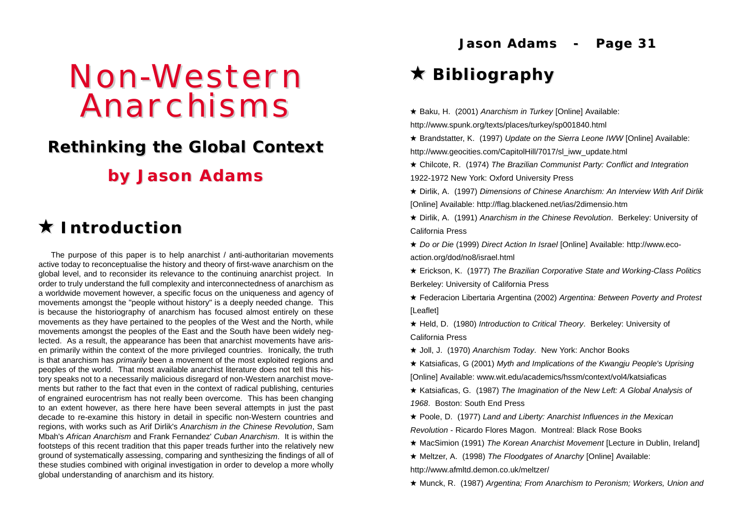# Non-Western Anarchisms

# *Rethinking the Global Context Rethinking the Global Context*

**by Jason Adams by Jason Adams**

# ! **Introduction Introduction**

The purpose of this paper is to help anarchist / anti-authoritarian movements active today to reconceptualise the history and theory of first-wave anarchism on the global level, and to reconsider its relevance to the continuing anarchist project. In order to truly understand the full complexity and interconnectedness of anarchism as a worldwide movement however, a specific focus on the uniqueness and agency of movements amongst the "people without history" is a deeply needed change. This is because the historiography of anarchism has focused almost entirely on these movements as they have pertained to the peoples of the West and the North, while movements amongst the peoples of the East and the South have been widely neglected. As a result, the appearance has been that anarchist movements have arisen primarily within the context of the more privileged countries. Ironically, the truth is that anarchism has *primarily* been a movement of the most exploited regions and peoples of the world. That most available anarchist literature does not tell this history speaks not to a necessarily malicious disregard of non-Western anarchist movements but rather to the fact that even in the context of radical publishing, centuries of engrained eurocentrism has not really been overcome. This has been changing to an extent however, as there here have been several attempts in just the past decade to re-examine this history in detail in specific non-Western countries and regions, with works such as Arif Dirlik's *Anarchism in the Chinese Revolution*, Sam Mbah's *African Anarchism* and Frank Fernandez' *Cuban Anarchism*. It is within the footsteps of this recent tradition that this paper treads further into the relatively new ground of systematically assessing, comparing and synthesizing the findings of all of these studies combined with original investigation in order to develop a more wholly global understanding of anarchism and its history.

**Jason Adams - Page 31 Jason Adams - Page 31**

# ! **Bibliography Bibliography**

- **★ Baku, H.** (2001) *Anarchism in Turkey* [Online] Available: http://www.spunk.org/texts/places/turkey/sp001840.html
- ! Brandstatter, K. (1997) *Update on the Sierra Leone IWW* [Online] Available: http://www.geocities.com/CapitolHill/7017/sl\_iww\_update.html
- ! Chilcote, R. (1974) *The Brazilian Communist Party: Conflict and Integration* 1922-1972 New York: Oxford University Press
- ! Dirlik, A. (1997) *Dimensions of Chinese Anarchism: An Interview With Arif Dirlik* [Online] Available: http://flag.blackened.net/ias/2dimensio.htm
- ! Dirlik, A. (1991) *Anarchism in the Chinese Revolution*. Berkeley: University of California Press
- ! *Do or Die* (1999) *Direct Action In Israel* [Online] Available: http://www.ecoaction.org/dod/no8/israel.html
- ! Erickson, K. (1977) *The Brazilian Corporative State and Working-Class Politics* Berkeley: University of California Press
- ! Federacion Libertaria Argentina (2002) *Argentina: Between Poverty and Protest* [Leaflet]
- ! Held, D. (1980) *Introduction to Critical Theory*. Berkeley: University of California Press
- ! Joll, J. (1970) *Anarchism Today*. New York: Anchor Books
- ! Katsiaficas, G (2001) *Myth and Implications of the Kwangju People's Uprising* [Online] Available: www.wit.edu/academics/hssm/context/vol4/katsiaficas
- ! Katsiaficas, G. (1987) *The Imagination of the New Left: A Global Analysis of 1968*. Boston: South End Press
- ! Poole, D. (1977) *Land and Liberty: Anarchist Influences in the Mexican Revolution* - Ricardo Flores Magon. Montreal: Black Rose Books
- ! MacSimion (1991) *The Korean Anarchist Movement* [Lecture in Dublin, Ireland]
- ! Meltzer, A. (1998) *The Floodgates of Anarchy* [Online] Available: http://www.afmltd.demon.co.uk/meltzer/
- ! Munck, R. (1987) *Argentina; From Anarchism to Peronism; Workers, Union and*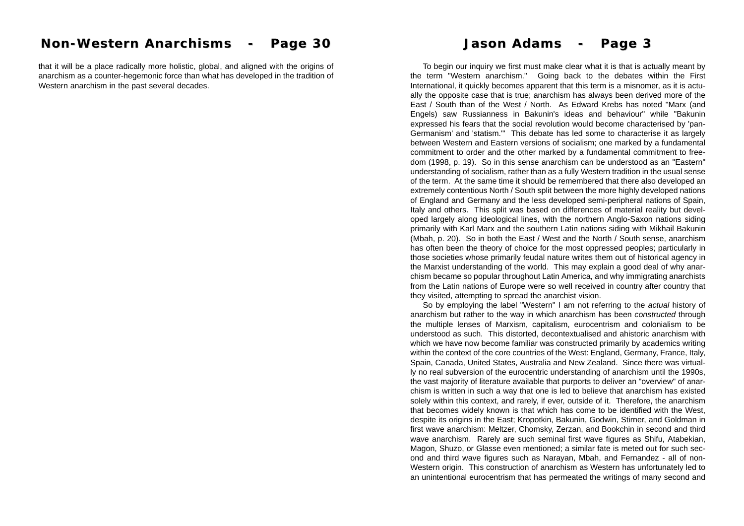that it will be a place radically more holistic, global, and aligned with the origins of anarchism as a counter-hegemonic force than what has developed in the tradition of Western anarchism in the past several decades.

To begin our inquiry we first must make clear what it is that is actually meant by the term "Western anarchism." Going back to the debates within the First International, it quickly becomes apparent that this term is a misnomer, as it is actually the opposite case that is true; anarchism has always been derived more of the East / South than of the West / North. As Edward Krebs has noted "Marx (and Engels) saw Russianness in Bakunin's ideas and behaviour" while "Bakunin expressed his fears that the social revolution would become characterised by 'pan-Germanism' and 'statism.'" This debate has led some to characterise it as largely between Western and Eastern versions of socialism; one marked by a fundamental commitment to order and the other marked by a fundamental commitment to freedom (1998, p. 19). So in this sense anarchism can be understood as an "Eastern" understanding of socialism, rather than as a fully Western tradition in the usual sense of the term. At the same time it should be remembered that there also developed an extremely contentious North / South split between the more highly developed nations of England and Germany and the less developed semi-peripheral nations of Spain, Italy and others. This split was based on differences of material reality but developed largely along ideological lines, with the northern Anglo-Saxon nations siding primarily with Karl Marx and the southern Latin nations siding with Mikhail Bakunin (Mbah, p. 20). So in both the East / West and the North / South sense, anarchism has often been the theory of choice for the most oppressed peoples; particularly in those societies whose primarily feudal nature writes them out of historical agency in the Marxist understanding of the world. This may explain a good deal of why anarchism became so popular throughout Latin America, and why immigrating anarchists from the Latin nations of Europe were so well received in country after country that they visited, attempting to spread the anarchist vision.

So by employing the label "Western" I am not referring to the *actual* history of anarchism but rather to the way in which anarchism has been *constructed* through the multiple lenses of Marxism, capitalism, eurocentrism and colonialism to be understood as such. This distorted, decontextualised and ahistoric anarchism with which we have now become familiar was constructed primarily by academics writing within the context of the core countries of the West: England, Germany, France, Italy, Spain, Canada, United States, Australia and New Zealand. Since there was virtually no real subversion of the eurocentric understanding of anarchism until the 1990s, the vast majority of literature available that purports to deliver an "overview" of anarchism is written in such a way that one is led to believe that anarchism has existed solely within this context, and rarely, if ever, outside of it. Therefore, the anarchism that becomes widely known is that which has come to be identified with the West, despite its origins in the East; Kropotkin, Bakunin, Godwin, Stirner, and Goldman in first wave anarchism: Meltzer, Chomsky, Zerzan, and Bookchin in second and third wave anarchism. Rarely are such seminal first wave figures as Shifu, Atabekian, Magon, Shuzo, or Glasse even mentioned; a similar fate is meted out for such second and third wave figures such as Narayan, Mbah, and Fernandez - all of non-Western origin. This construction of anarchism as Western has unfortunately led to an unintentional eurocentrism that has permeated the writings of many second and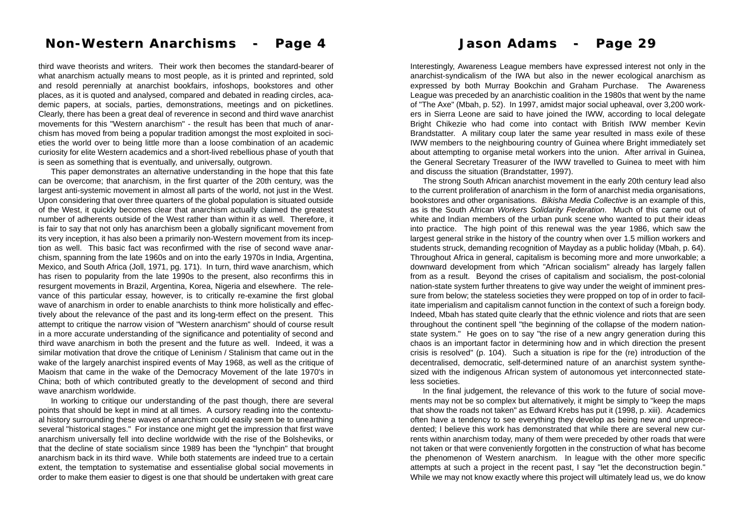### **Non-Western Anarchisms - Page 4 Non-Western Anarchisms - Page 4 Jason Adams - Page 29 Jason Adams - Page 29**

third wave theorists and writers. Their work then becomes the standard-bearer of what anarchism actually means to most people, as it is printed and reprinted, sold and resold perennially at anarchist bookfairs, infoshops, bookstores and other places, as it is quoted and analysed, compared and debated in reading circles, academic papers, at socials, parties, demonstrations, meetings and on picketlines. Clearly, there has been a great deal of reverence in second and third wave anarchist movements for this "Western anarchism" - the result has been that much of anarchism has moved from being a popular tradition amongst the most exploited in societies the world over to being little more than a loose combination of an academic curiosity for elite Western academics and a short-lived rebellious phase of youth that is seen as something that is eventually, and universally, outgrown.

This paper demonstrates an alternative understanding in the hope that this fate can be overcome; that anarchism, in the first quarter of the 20th century, was the largest anti-systemic movement in almost all parts of the world, not just in the West. Upon considering that over three quarters of the global population is situated outside of the West, it quickly becomes clear that anarchism actually claimed the greatest number of adherents outside of the West rather than within it as well. Therefore, it is fair to say that not only has anarchism been a globally significant movement from its very inception, it has also been a primarily non-Western movement from its inception as well. This basic fact was reconfirmed with the rise of second wave anarchism, spanning from the late 1960s and on into the early 1970s in India, Argentina, Mexico, and South Africa (Joll, 1971, pg. 171). In turn, third wave anarchism, which has risen to popularity from the late 1990s to the present, also reconfirms this in resurgent movements in Brazil, Argentina, Korea, Nigeria and elsewhere. The relevance of this particular essay, however, is to critically re-examine the first global wave of anarchism in order to enable anarchists to think more holistically and effectively about the relevance of the past and its long-term effect on the present. This attempt to critique the narrow vision of "Western anarchism" should of course result in a more accurate understanding of the significance and potentiality of second and third wave anarchism in both the present and the future as well. Indeed, it was a similar motivation that drove the critique of Leninism / Stalinism that came out in the wake of the largely anarchist inspired events of May 1968, as well as the critique of Maoism that came in the wake of the Democracy Movement of the late 1970's in China; both of which contributed greatly to the development of second and third wave anarchism worldwide.

In working to critique our understanding of the past though, there are several points that should be kept in mind at all times. A cursory reading into the contextual history surrounding these waves of anarchism could easily seem be to unearthing several "historical stages." For instance one might get the impression that first wave anarchism universally fell into decline worldwide with the rise of the Bolsheviks, or that the decline of state socialism since 1989 has been the "lynchpin" that brought anarchism back in its third wave. While both statements are indeed true to a certain extent, the temptation to systematise and essentialise global social movements in order to make them easier to digest is one that should be undertaken with great care

Interestingly, Awareness League members have expressed interest not only in the anarchist-syndicalism of the IWA but also in the newer ecological anarchism as expressed by both Murray Bookchin and Graham Purchase. The Awareness League was preceded by an anarchistic coalition in the 1980s that went by the name of "The Axe" (Mbah, p. 52). In 1997, amidst major social upheaval, over 3,200 workers in Sierra Leone are said to have joined the IWW, according to local delegate Bright Chikezie who had come into contact with British IWW member Kevin Brandstatter. A military coup later the same year resulted in mass exile of these IWW members to the neighbouring country of Guinea where Bright immediately set about attempting to organise metal workers into the union. After arrival in Guinea, the General Secretary Treasurer of the IWW travelled to Guinea to meet with him and discuss the situation (Brandstatter, 1997).

The strong South African anarchist movement in the early 20th century lead also to the current proliferation of anarchism in the form of anarchist media organisations, bookstores and other organisations. *Bikisha Media Collective* is an example of this, as is the South African *Workers Solidarity Federation*. Much of this came out of white and Indian members of the urban punk scene who wanted to put their ideas into practice. The high point of this renewal was the year 1986, which saw the largest general strike in the history of the country when over 1.5 million workers and students struck, demanding recognition of Mayday as a public holiday (Mbah, p. 64). Throughout Africa in general, capitalism is becoming more and more unworkable; a downward development from which "African socialism" already has largely fallen from as a result. Beyond the crises of capitalism and socialism, the post-colonial nation-state system further threatens to give way under the weight of imminent pressure from below; the stateless societies they were propped on top of in order to facilitate imperialism and capitalism cannot function in the context of such a foreign body. Indeed, Mbah has stated quite clearly that the ethnic violence and riots that are seen throughout the continent spell "the beginning of the collapse of the modern nationstate system." He goes on to say "the rise of a new angry generation during this chaos is an important factor in determining how and in which direction the present crisis is resolved" (p. 104). Such a situation is ripe for the (re) introduction of the decentralised, democratic, self-determined nature of an anarchist system synthesized with the indigenous African system of autonomous yet interconnected stateless societies.

In the final judgement, the relevance of this work to the future of social movements may not be so complex but alternatively, it might be simply to "keep the maps that show the roads not taken" as Edward Krebs has put it (1998, p. xiii). Academics often have a tendency to see everything they develop as being new and unprecedented; I believe this work has demonstrated that while there are several new currents within anarchism today, many of them were preceded by other roads that were not taken or that were conveniently forgotten in the construction of what has become the phenomenon of Western anarchism. In league with the other more specific attempts at such a project in the recent past, I say "let the deconstruction begin." While we may not know exactly where this project will ultimately lead us, we do know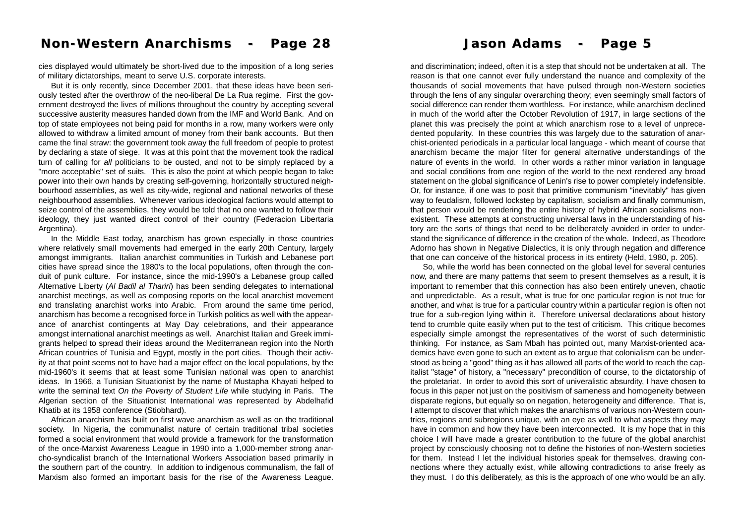cies displayed would ultimately be short-lived due to the imposition of a long series of military dictatorships, meant to serve U.S. corporate interests.

But it is only recently, since December 2001, that these ideas have been seriously tested after the overthrow of the neo-liberal De La Rua regime. First the government destroyed the lives of millions throughout the country by accepting several successive austerity measures handed down from the IMF and World Bank. And on top of state employees not being paid for months in a row, many workers were only allowed to withdraw a limited amount of money from their bank accounts. But then came the final straw: the government took away the full freedom of people to protest by declaring a state of siege. It was at this point that the movement took the radical turn of calling for *all* politicians to be ousted, and not to be simply replaced by a "more acceptable" set of suits. This is also the point at which people began to take power into their own hands by creating self-governing, horizontally structured neighbourhood assemblies, as well as city-wide, regional and national networks of these neighbourhood assemblies. Whenever various ideological factions would attempt to seize control of the assemblies, they would be told that no one wanted to follow their ideology, they just wanted direct control of their country (Federacion Libertaria Argentina).

In the Middle East today, anarchism has grown especially in those countries where relatively small movements had emerged in the early 20th Century, largely amongst immigrants. Italian anarchist communities in Turkish and Lebanese port cities have spread since the 1980's to the local populations, often through the conduit of punk culture. For instance, since the mid-1990's a Lebanese group called Alternative Liberty (*Al Badil al Thariri*) has been sending delegates to international anarchist meetings, as well as composing reports on the local anarchist movement and translating anarchist works into Arabic. From around the same time period, anarchism has become a recognised force in Turkish politics as well with the appearance of anarchist contingents at May Day celebrations, and their appearance amongst international anarchist meetings as well. Anarchist Italian and Greek immigrants helped to spread their ideas around the Mediterranean region into the North African countries of Tunisia and Egypt, mostly in the port cities. Though their activity at that point seems not to have had a major effect on the local populations, by the mid-1960's it seems that at least some Tunisian national was open to anarchist ideas. In 1966, a Tunisian Situationist by the name of Mustapha Khayati helped to write the seminal text *On the Poverty of Student Life* while studying in Paris. The Algerian section of the Situationist International was represented by Abdelhafid Khatib at its 1958 conference (Stiobhard).

African anarchism has built on first wave anarchism as well as on the traditional society. In Nigeria, the communalist nature of certain traditional tribal societies formed a social environment that would provide a framework for the transformation of the once-Marxist Awareness League in 1990 into a 1,000-member strong anarcho-syndicalist branch of the International Workers Association based primarily in the southern part of the country. In addition to indigenous communalism, the fall of Marxism also formed an important basis for the rise of the Awareness League.

and discrimination; indeed, often it is a step that should not be undertaken at all. The reason is that one cannot ever fully understand the nuance and complexity of the thousands of social movements that have pulsed through non-Western societies through the lens of any singular overarching theory; even seemingly small factors of social difference can render them worthless. For instance, while anarchism declined in much of the world after the October Revolution of 1917, in large sections of the planet this was precisely the point at which anarchism rose to a level of unprecedented popularity. In these countries this was largely due to the saturation of anarchist-oriented periodicals in a particular local language - which meant of course that anarchism became the major filter for general alternative understandings of the nature of events in the world. In other words a rather minor variation in language and social conditions from one region of the world to the next rendered any broad statement on the global significance of Lenin's rise to power completely indefensible. Or, for instance, if one was to posit that primitive communism "inevitably" has given way to feudalism, followed lockstep by capitalism, socialism and finally communism, that person would be rendering the entire history of hybrid African socialisms nonexistent. These attempts at constructing universal laws in the understanding of history are the sorts of things that need to be deliberately avoided in order to understand the significance of difference in the creation of the whole. Indeed, as Theodore Adorno has shown in Negative Dialectics, it is only through negation and difference that one can conceive of the historical process in its entirety (Held, 1980, p. 205).

So, while the world has been connected on the global level for several centuries now, and there are many patterns that seem to present themselves as a result, it is important to remember that this connection has also been entirely uneven, chaotic and unpredictable. As a result, what is true for one particular region is not true for another, and what is true for a particular country within a particular region is often not true for a sub-region lying within it. Therefore universal declarations about history tend to crumble quite easily when put to the test of criticism. This critique becomes especially simple amongst the representatives of the worst of such deterministic thinking. For instance, as Sam Mbah has pointed out, many Marxist-oriented academics have even gone to such an extent as to argue that colonialism can be understood as being a "good" thing as it has allowed all parts of the world to reach the capitalist "stage" of history, a "necessary" precondition of course, to the dictatorship of the proletariat. In order to avoid this sort of univeralistic absurdity, I have chosen to focus in this paper not just on the positivism of sameness and homogeneity between disparate regions, but equally so on negation, heterogeneity and difference. That is, I attempt to discover that which makes the anarchisms of various non-Western countries, regions and subregions unique, with an eye as well to what aspects they may have in common and how they have been interconnected. It is my hope that in this choice I will have made a greater contribution to the future of the global anarchist project by consciously choosing not to define the histories of non-Western societies for them. Instead I let the individual histories speak for themselves, drawing connections where they actually exist, while allowing contradictions to arise freely as they must. I do this deliberately, as this is the approach of one who would be an ally.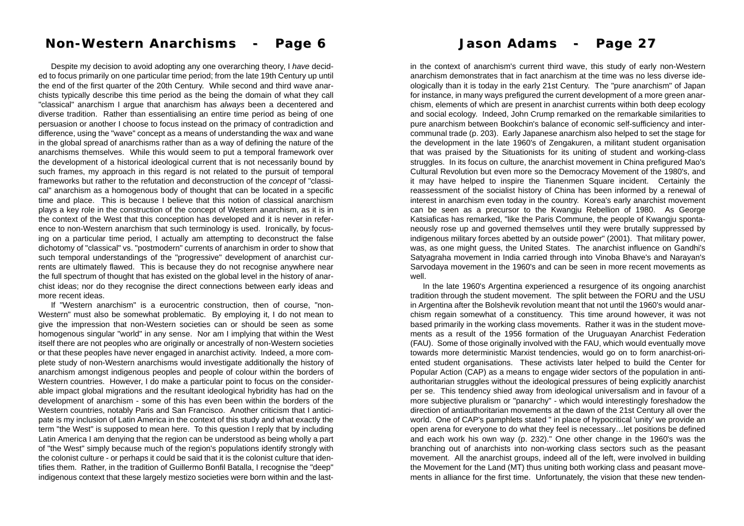# **Non-Western Anarchisms - Page 6 Non-Western Anarchisms - Page 6**

Despite my decision to avoid adopting any one overarching theory, I *have* decided to focus primarily on one particular time period; from the late 19th Century up until the end of the first quarter of the 20th Century. While second and third wave anarchists typically describe this time period as the being the domain of what they call "classical" anarchism I argue that anarchism has *always* been a decentered and diverse tradition. Rather than essentialising an entire time period as being of one persuasion or another I choose to focus instead on the primacy of contradiction and difference, using the "wave" concept as a means of understanding the wax and wane in the global spread of anarchisms rather than as a way of defining the nature of the anarchisms themselves. While this would seem to put a temporal framework over the development of a historical ideological current that is not necessarily bound by such frames, my approach in this regard is not related to the pursuit of temporal frameworks but rather to the refutation and deconstruction of the *concept* of "classical" anarchism as a homogenous body of thought that can be located in a specific time and place. This is because I believe that this notion of classical anarchism plays a key role in the construction of the concept of Western anarchism, as it is in the context of the West that this conception has developed and it is never in reference to non-Western anarchism that such terminology is used. Ironically, by focusing on a particular time period, I actually am attempting to deconstruct the false dichotomy of "classical" vs. "postmodern" currents of anarchism in order to show that such temporal understandings of the "progressive" development of anarchist currents are ultimately flawed. This is because they do not recognise anywhere near the full spectrum of thought that has existed on the global level in the history of anarchist ideas; nor do they recognise the direct connections between early ideas and more recent ideas.

If "Western anarchism" is a eurocentric construction, then of course, "non-Western" must also be somewhat problematic. By employing it, I do not mean to give the impression that non-Western societies can or should be seen as some homogenous singular "world" in any sense. Nor am I implying that within the West itself there are not peoples who are originally or ancestrally of non-Western societies or that these peoples have never engaged in anarchist activity. Indeed, a more complete study of non-Western anarchisms would investigate additionally the history of anarchism amongst indigenous peoples and people of colour within the borders of Western countries. However, I do make a particular point to focus on the considerable impact global migrations and the resultant ideological hybridity has had on the development of anarchism - some of this has even been within the borders of the Western countries, notably Paris and San Francisco. Another criticism that I anticipate is my inclusion of Latin America in the context of this study and what exactly the term "the West" is supposed to mean here. To this question I reply that by including Latin America I am denying that the region can be understood as being wholly a part of "the West" simply because much of the region's populations identify strongly with the colonist culture - or perhaps it could be said that it is the colonist culture that identifies them. Rather, in the tradition of Guillermo Bonfil Batalla, I recognise the "deep" indigenous context that these largely mestizo societies were born within and the last-

in the context of anarchism's current third wave, this study of early non-Western anarchism demonstrates that in fact anarchism at the time was no less diverse ide ologically than it is today in the early 21st Century. The "pure anarchism" of Japan for instance, in many ways prefigured the current development of a more green anar chism, elements of which are present in anarchist currents within both deep ecology and social ecology. Indeed, John Crump remarked on the remarkable similarities to pure anarchism between Bookchin's balance of economic self-sufficiency and inter communal trade (p. 203). Early Japanese anarchism also helped to set the stage for the development in the late 1960's of Zengakuren, a militant student organisation that was praised by the Situationists for its uniting of student and working-class struggles. In its focus on culture, the anarchist movement in China prefigured Mao's Cultural Revolution but even more so the Democracy Movement of the 1980's, and it may have helped to inspire the Tianenmen Square incident. Certainly the reassessment of the socialist history of China has been informed by a renewal of interest in anarchism even today in the country. Korea's early anarchist movement can be seen as a precursor to the Kwangju Rebellion of 1980. As George Katsiaficas has remarked, "like the Paris Commune, the people of Kwangju sponta neously rose up and governed themselves until they were brutally suppressed by indigenous military forces abetted by an outside power" (2001). That military power, was, as one might guess, the United States. The anarchist influence on Gandhi's Satyagraha movement in India carried through into Vinoba Bhave's and Narayan's Sarvodaya movement in the 1960's and can be seen in more recent movements as well.<br>In the late 1960's Argentina experienced a resurgence of its ongoing anarchist **in he control on ancient of the first time.** The study of saily non-Western ancount of matching is current bind wise this study of saily non-Nestern ancient bind properly then it is located in the first time. The "put ene

tradition through the student movement. The split between the FORU and the USU in Argentina after the Bolshevik revolution meant that not until the 1960's would anar chism regain somewhat of a constituency. This time around however, it was not based primarily in the working class movements. Rather it was in the student move ments as a result of the 1956 formation of the Uruguayan Anarchist Federation (FAU). Some of those originally involved with the FAU, which would eventually move towards more deterministic Marxist tendencies, would go on to form anarchist-ori ented student organisations. These activists later helped to build the Center for Popular Action (CAP) as a means to engage wider sectors of the population in anti authoritarian struggles without the ideological pressures of being explicitly anarchist per se. This tendency shied away from ideological universalism and in favour of a more subjective pluralism or "panarchy" - which would interestingly foreshadow the direction of antiauthoritarian movements at the dawn of the 21st Century all over the world. One of CAP's pamphlets stated " in place of hypocritical 'unity' we provide an open arena for everyone to do what they feel is necessary…let positions be defined and each work his own way (p. 232)." One other change in the 1960's was the branching out of anarchists into non-working class sectors such as the peasant movement. All the anarchist groups, indeed all of the left, were involved in building the Movement for the Land (MT) thus uniting both working class and peasant move-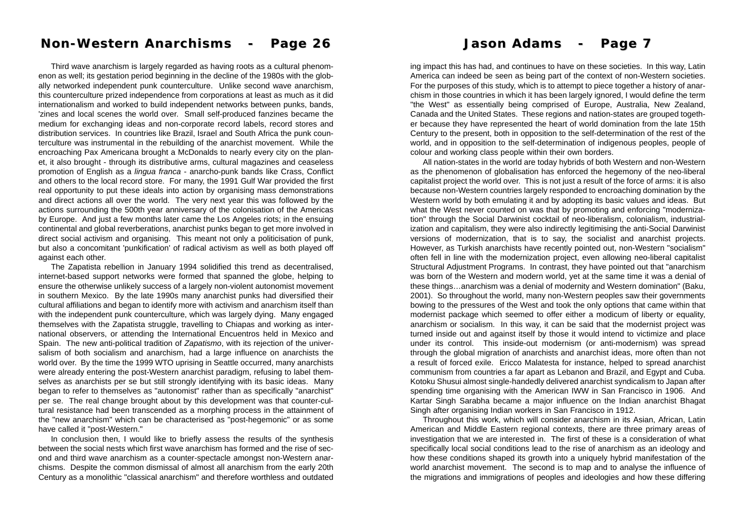### **Non-Western Anarchisms - Page 26 Non-Western Anarchisms - Page 26 Jason Adams - Page 7 Jason Adams - Page 7**

Third wave anarchism is largely regarded as having roots as a cultural phenomenon as well; its gestation period beginning in the decline of the 1980s with the globally networked independent punk counterculture. Unlike second wave anarchism, this counterculture prized independence from corporations at least as much as it did internationalism and worked to build independent networks between punks, bands, 'zines and local scenes the world over. Small self-produced fanzines became the medium for exchanging ideas and non-corporate record labels, record stores and distribution services. In countries like Brazil, Israel and South Africa the punk counterculture was instrumental in the rebuilding of the anarchist movement. While the encroaching Pax Americana brought a McDonalds to nearly every city on the planet, it also brought - through its distributive arms, cultural magazines and ceaseless promotion of English as a *lingua franca* - anarcho-punk bands like Crass, Conflict and others to the local record store. For many, the 1991 Gulf War provided the first real opportunity to put these ideals into action by organising mass demonstrations and direct actions all over the world. The very next year this was followed by the actions surrounding the 500th year anniversary of the colonisation of the Americas by Europe. And just a few months later came the Los Angeles riots; in the ensuing continental and global reverberations, anarchist punks began to get more involved in direct social activism and organising. This meant not only a politicisation of punk, but also a concomitant 'punkification' of radical activism as well as both played off against each other.

The Zapatista rebellion in January 1994 solidified this trend as decentralised, internet-based support networks were formed that spanned the globe, helping to ensure the otherwise unlikely success of a largely non-violent autonomist movement in southern Mexico. By the late 1990s many anarchist punks had diversified their cultural affiliations and began to identify more with activism and anarchism itself than with the independent punk counterculture, which was largely dying. Many engaged themselves with the Zapatista struggle, travelling to Chiapas and working as international observers, or attending the International Encuentros held in Mexico and Spain. The new anti-political tradition of *Zapatismo*, with its rejection of the universalism of both socialism and anarchism, had a large influence on anarchists the world over. By the time the 1999 WTO uprising in Seattle occurred, many anarchists were already entering the post-Western anarchist paradigm, refusing to label themselves as anarchists per se but still strongly identifying with its basic ideas. Many began to refer to themselves as "autonomist" rather than as specifically "anarchist" per se. The real change brought about by this development was that counter-cultural resistance had been transcended as a morphing process in the attainment of the "new anarchism" which can be characterised as "post-hegemonic" or as some have called it "post-Western."

In conclusion then, I would like to briefly assess the results of the synthesis between the social nests which first wave anarchism has formed and the rise of second and third wave anarchism as a counter-spectacle amongst non-Western anarchisms. Despite the common dismissal of almost all anarchism from the early 20th Century as a monolithic "classical anarchism" and therefore worthless and outdated

ing impact this has had, and continues to have on these societies. In this way, Latin America can indeed be seen as being part of the context of non-Western societies. For the purposes of this study, which is to attempt to piece together a history of anarchism in those countries in which it has been largely ignored, I would define the term "the West" as essentially being comprised of Europe, Australia, New Zealand, Canada and the United States. These regions and nation-states are grouped together because they have represented the heart of world domination from the late 15th Century to the present, both in opposition to the self-determination of the rest of the world, and in opposition to the self-determination of indigenous peoples, people of colour and working class people within their own borders.

All nation-states in the world are today hybrids of both Western and non-Western as the phenomenon of globalisation has enforced the hegemony of the neo-liberal capitalist project the world over. This is not just a result of the force of arms: it is also because non-Western countries largely responded to encroaching domination by the Western world by both emulating it and by adopting its basic values and ideas. But what the West never counted on was that by promoting and enforcing "modernization" through the Social Darwinist cocktail of neo-liberalism, colonialism, industrialization and capitalism, they were also indirectly legitimising the anti-Social Darwinist versions of modernization, that is to say, the socialist and anarchist projects. However, as Turkish anarchists have recently pointed out, non-Western "socialism" often fell in line with the modernization project, even allowing neo-liberal capitalist Structural Adjustment Programs. In contrast, they have pointed out that "anarchism was born of the Western and modern world, yet at the same time it was a denial of these things…anarchism was a denial of modernity and Western domination" (Baku, 2001). So throughout the world, many non-Western peoples saw their governments bowing to the pressures of the West and took the only options that came within that modernist package which seemed to offer either a modicum of liberty or equality, anarchism or socialism. In this way, it can be said that the modernist project was turned inside out and against itself by those it would intend to victimize and place under its control. This inside-out modernism (or anti-modernism) was spread through the global migration of anarchists and anarchist ideas, more often than not a result of forced exile. Ericco Malatesta for instance, helped to spread anarchist communism from countries a far apart as Lebanon and Brazil, and Egypt and Cuba. Kotoku Shusui almost single-handedly delivered anarchist syndicalism to Japan after spending time organising with the American IWW in San Francisco in 1906. And Kartar Singh Sarabha became a major influence on the Indian anarchist Bhagat Singh after organising Indian workers in San Francisco in 1912.

Throughout this work, which will consider anarchism in its Asian, African, Latin American and Middle Eastern regional contexts, there are three primary areas of investigation that we are interested in. The first of these is a consideration of what specifically local social conditions lead to the rise of anarchism as an ideology and how these conditions shaped its growth into a uniquely hybrid manifestation of the world anarchist movement. The second is to map and to analyse the influence of the migrations and immigrations of peoples and ideologies and how these differing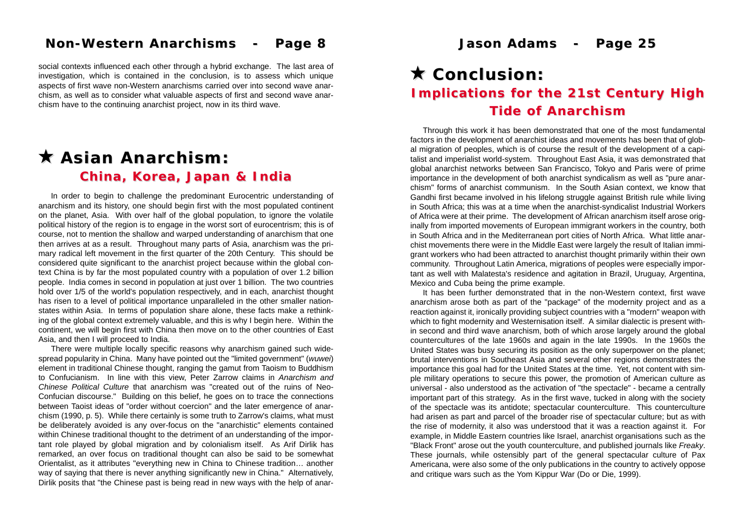### **Non-Western Anarchisms - Page 8 Non-Western Anarchisms - Page 8 Jason Adams - Page 25 Jason Adams - Page 25**

social contexts influenced each other through a hybrid exchange. The last area of investigation, which is contained in the conclusion, is to assess which unique aspects of first wave non-Western anarchisms carried over into second wave anarchism, as well as to consider what valuable aspects of first and second wave anarchism have to the continuing anarchist project, now in its third wave.

# ! **Asian Anarchism: Asian Anarchism:** *China, Korea, Japan & India China, Korea, Japan & India*

In order to begin to challenge the predominant Eurocentric understanding of anarchism and its history, one should begin first with the most populated continent on the planet, Asia. With over half of the global population, to ignore the volatile political history of the region is to engage in the worst sort of eurocentrism; this is of course, not to mention the shallow and warped understanding of anarchism that one then arrives at as a result. Throughout many parts of Asia, anarchism was the primary radical left movement in the first quarter of the 20th Century. This should be considered quite significant to the anarchist project because within the global context China is by far the most populated country with a population of over 1.2 billion people. India comes in second in population at just over 1 billion. The two countries hold over 1/5 of the world's population respectively, and in each, anarchist thought has risen to a level of political importance unparalleled in the other smaller nationstates within Asia. In terms of population share alone, these facts make a rethinking of the global context extremely valuable, and this is why I begin here. Within the continent, we will begin first with China then move on to the other countries of East Asia, and then I will proceed to India.

There were multiple locally specific reasons why anarchism gained such widespread popularity in China. Many have pointed out the "limited government" (*wuwei*) element in traditional Chinese thought, ranging the gamut from Taoism to Buddhism to Confucianism. In line with this view, Peter Zarrow claims in *Anarchism and Chinese Political Culture* that anarchism was "created out of the ruins of Neo-Confucian discourse." Building on this belief, he goes on to trace the connections between Taoist ideas of "order without coercion" and the later emergence of anarchism (1990, p. 5). While there certainly is some truth to Zarrow's claims, what must be deliberately avoided is any over-focus on the "anarchistic" elements contained within Chinese traditional thought to the detriment of an understanding of the important role played by global migration and by colonialism itself. As Arif Dirlik has remarked, an over focus on traditional thought can also be said to be somewhat Orientalist, as it attributes "everything new in China to Chinese tradition… another way of saying that there is never anything significantly new in China." Alternatively, Dirlik posits that "the Chinese past is being read in new ways with the help of anar-

# ! **Conclusion: Conclusion:** *Implications for the 21st Century High Implications for the 21st Century High Tide of Anarchism*

Through this work it has been demonstrated that one of the most fundamental factors in the development of anarchist ideas and movements has been that of global migration of peoples, which is of course the result of the development of a capitalist and imperialist world-system. Throughout East Asia, it was demonstrated that global anarchist networks between San Francisco, Tokyo and Paris were of prime importance in the development of both anarchist syndicalism as well as "pure anarchism" forms of anarchist communism. In the South Asian context, we know that Gandhi first became involved in his lifelong struggle against British rule while living in South Africa; this was at a time when the anarchist-syndicalist Industrial Workers of Africa were at their prime. The development of African anarchism itself arose originally from imported movements of European immigrant workers in the country, both in South Africa and in the Mediterranean port cities of North Africa. What little anarchist movements there were in the Middle East were largely the result of Italian immigrant workers who had been attracted to anarchist thought primarily within their own community. Throughout Latin America, migrations of peoples were especially important as well with Malatesta's residence and agitation in Brazil, Uruguay, Argentina, Mexico and Cuba being the prime example.

It has been further demonstrated that in the non-Western context, first wave anarchism arose both as part of the "package" of the modernity project and as a reaction against it, ironically providing subject countries with a "modern" weapon with which to fight modernity and Westernisation itself. A similar dialectic is present within second and third wave anarchism, both of which arose largely around the global countercultures of the late 1960s and again in the late 1990s. In the 1960s the United States was busy securing its position as the only superpower on the planet; brutal interventions in Southeast Asia and several other regions demonstrates the importance this goal had for the United States at the time. Yet, not content with simple military operations to secure this power, the promotion of American culture as universal - also understood as the activation of "the spectacle" - became a centrally important part of this strategy. As in the first wave, tucked in along with the society of the spectacle was its antidote; spectacular counterculture. This counterculture had arisen as part and parcel of the broader rise of spectacular culture; but as with the rise of modernity, it also was understood that it was a reaction against it. For example, in Middle Eastern countries like Israel, anarchist organisations such as the "Black Front" arose out the youth counterculture, and published journals like *Freaky*. These journals, while ostensibly part of the general spectacular culture of Pax Americana, were also some of the only publications in the country to actively oppose and critique wars such as the Yom Kippur War (Do or Die, 1999).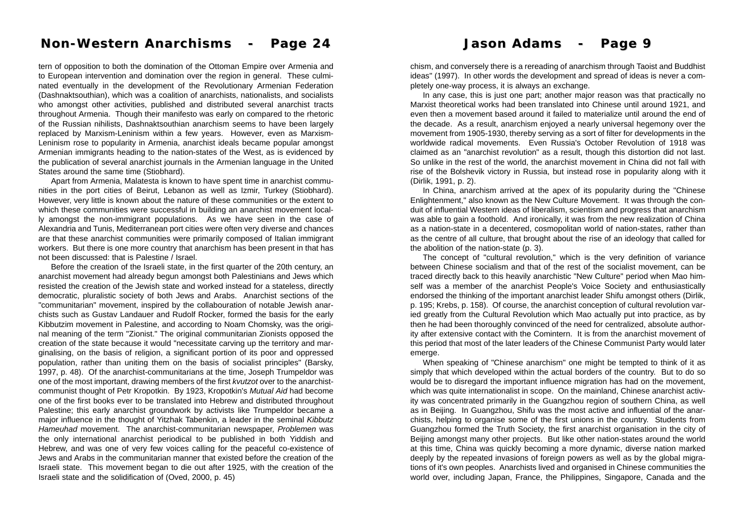# **Non-Western Anarchisms - Page 24 Non-Western Anarchisms - Page 24 Jason Adams - Page 9 Jason Adams - Page 9**

tern of opposition to both the domination of the Ottoman Empire over Armenia and to European intervention and domination over the region in general. These culminated eventually in the development of the Revolutionary Armenian Federation (Dashnaktsouthian), which was a coalition of anarchists, nationalists, and socialists who amongst other activities, published and distributed several anarchist tracts throughout Armenia. Though their manifesto was early on compared to the rhetoric of the Russian nihilists, Dashnaktsouthian anarchism seems to have been largely replaced by Marxism-Leninism within a few years. However, even as Marxism-Leninism rose to popularity in Armenia, anarchist ideals became popular amongst Armenian immigrants heading to the nation-states of the West, as is evidenced by the publication of several anarchist journals in the Armenian language in the United States around the same time (Stiobhard).

Apart from Armenia, Malatesta is known to have spent time in anarchist communities in the port cities of Beirut, Lebanon as well as Izmir, Turkey (Stiobhard). However, very little is known about the nature of these communities or the extent to which these communities were successful in building an anarchist movement locally amongst the non-immigrant populations. As we have seen in the case of Alexandria and Tunis, Mediterranean port cities were often very diverse and chances are that these anarchist communities were primarily composed of Italian immigrant workers. But there is one more country that anarchism has been present in that has not been discussed: that is Palestine / Israel.

Before the creation of the Israeli state, in the first quarter of the 20th century, an anarchist movement had already begun amongst both Palestinians and Jews which resisted the creation of the Jewish state and worked instead for a stateless, directly democratic, pluralistic society of both Jews and Arabs. Anarchist sections of the "communitarian" movement, inspired by the collabouration of notable Jewish anarchists such as Gustav Landauer and Rudolf Rocker, formed the basis for the early Kibbutzim movement in Palestine, and according to Noam Chomsky, was the original meaning of the term "Zionist." The original communitarian Zionists opposed the creation of the state because it would "necessitate carving up the territory and marginalising, on the basis of religion, a significant portion of its poor and oppressed population, rather than uniting them on the basis of socialist principles" (Barsky, 1997, p. 48). Of the anarchist-communitarians at the time, Joseph Trumpeldor was one of the most important, drawing members of the first *kvutzot* over to the anarchistcommunist thought of Petr Kropotkin. By 1923, Kropotkin's *Mutual Aid* had become one of the first books ever to be translated into Hebrew and distributed throughout Palestine; this early anarchist groundwork by activists like Trumpeldor became a major influence in the thought of Yitzhak Tabenkin, a leader in the seminal *Kibbutz Hameuhad* movement. The anarchist-communitarian newspaper, *Problemen* was the only international anarchist periodical to be published in both Yiddish and Hebrew, and was one of very few voices calling for the peaceful co-existence of Jews and Arabs in the communitarian manner that existed before the creation of the Israeli state. This movement began to die out after 1925, with the creation of the Israeli state and the solidification of (Oved, 2000, p. 45)

chism, and conversely there is a rereading of anarchism through Taoist and Buddhist ideas" (1997). In other words the development and spread of ideas is never a completely one-way process, it is always an exchange.

In any case, this is just one part; another major reason was that practically no Marxist theoretical works had been translated into Chinese until around 1921, and even then a movement based around it failed to materialize until around the end of the decade. As a result, anarchism enjoyed a nearly universal hegemony over the movement from 1905-1930, thereby serving as a sort of filter for developments in the worldwide radical movements. Even Russia's October Revolution of 1918 was claimed as an "anarchist revolution" as a result, though this distortion did not last. So unlike in the rest of the world, the anarchist movement in China did not fall with rise of the Bolshevik victory in Russia, but instead rose in popularity along with it (Dirlik, 1991, p. 2).

In China, anarchism arrived at the apex of its popularity during the "Chinese Enlightenment," also known as the New Culture Movement. It was through the conduit of influential Western ideas of liberalism, scientism and progress that anarchism was able to gain a foothold. And ironically, it was from the new realization of China as a nation-state in a decentered, cosmopolitan world of nation-states, rather than as the centre of all culture, that brought about the rise of an ideology that called for the abolition of the nation-state (p. 3).

The concept of "cultural revolution," which is the very definition of variance between Chinese socialism and that of the rest of the socialist movement, can be traced directly back to this heavily anarchistic "New Culture" period when Mao himself was a member of the anarchist People's Voice Society and enthusiastically endorsed the thinking of the important anarchist leader Shifu amongst others (Dirlik, p. 195; Krebs, p. 158). Of course, the anarchist conception of cultural revolution varied greatly from the Cultural Revolution which Mao actually put into practice, as by then he had been thoroughly convinced of the need for centralized, absolute authority after extensive contact with the Comintern. It is from the anarchist movement of this period that most of the later leaders of the Chinese Communist Party would later emerge.

When speaking of "Chinese anarchism" one might be tempted to think of it as simply that which developed within the actual borders of the country. But to do so would be to disregard the important influence migration has had on the movement, which was quite internationalist in scope. On the mainland, Chinese anarchist activity was concentrated primarily in the Guangzhou region of southern China, as well as in Beijing. In Guangzhou, Shifu was the most active and influential of the anarchists, helping to organise some of the first unions in the country. Students from Guangzhou formed the Truth Society, the first anarchist organisation in the city of Beijing amongst many other projects. But like other nation-states around the world at this time, China was quickly becoming a more dynamic, diverse nation marked deeply by the repeated invasions of foreign powers as well as by the global migrations of it's own peoples. Anarchists lived and organised in Chinese communities the world over, including Japan, France, the Philippines, Singapore, Canada and the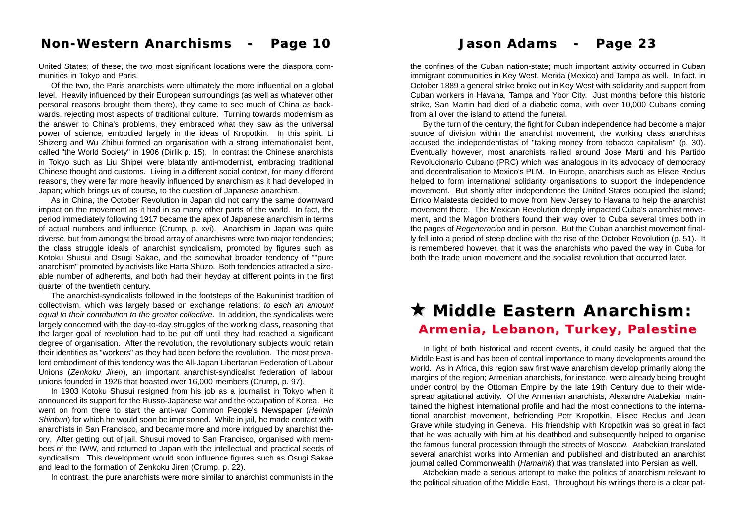### **Non-Western Anarchisms - Page 10 Non-Western Anarchisms - Page 10 Jason Adams - Page 23 Jason Adams - Page 23**

United States; of these, the two most significant locations were the diaspora communities in Tokyo and Paris.

Of the two, the Paris anarchists were ultimately the more influential on a global level. Heavily influenced by their European surroundings (as well as whatever other personal reasons brought them there), they came to see much of China as backwards, rejecting most aspects of traditional culture. Turning towards modernism as the answer to China's problems, they embraced what they saw as the universal power of science, embodied largely in the ideas of Kropotkin. In this spirit, Li Shizeng and Wu Zhihui formed an organisation with a strong internationalist bent, called "the World Society" in 1906 (Dirlik p. 15). In contrast the Chinese anarchists in Tokyo such as Liu Shipei were blatantly anti-modernist, embracing traditional Chinese thought and customs. Living in a different social context, for many different reasons, they were far more heavily influenced by anarchism as it had developed in Japan; which brings us of course, to the question of Japanese anarchism.

As in China, the October Revolution in Japan did not carry the same downward impact on the movement as it had in so many other parts of the world. In fact, the period immediately following 1917 became the apex of Japanese anarchism in terms of actual numbers and influence (Crump, p. xvi). Anarchism in Japan was quite diverse, but from amongst the broad array of anarchisms were two major tendencies; the class struggle ideals of anarchist syndicalism, promoted by figures such as Kotoku Shusui and Osugi Sakae, and the somewhat broader tendency of ""pure anarchism" promoted by activists like Hatta Shuzo. Both tendencies attracted a sizeable number of adherents, and both had their heyday at different points in the first quarter of the twentieth century.

The anarchist-syndicalists followed in the footsteps of the Bakuninist tradition of collectivism, which was largely based on exchange relations: *to each an amount equal to their contribution to the greater collective*. In addition, the syndicalists were largely concerned with the day-to-day struggles of the working class, reasoning that the larger goal of revolution had to be put off until they had reached a significant degree of organisation. After the revolution, the revolutionary subjects would retain their identities as "workers" as they had been before the revolution. The most prevalent embodiment of this tendency was the All-Japan Libertarian Federation of Labour Unions (*Zenkoku Jiren*), an important anarchist-syndicalist federation of labour unions founded in 1926 that boasted over 16,000 members (Crump, p. 97).

In 1903 Kotoku Shusui resigned from his job as a journalist in Tokyo when it announced its support for the Russo-Japanese war and the occupation of Korea. He went on from there to start the anti-war Common People's Newspaper (*Heimin Shinbun*) for which he would soon be imprisoned. While in jail, he made contact with anarchists in San Francisco, and became more and more intrigued by anarchist theory. After getting out of jail, Shusui moved to San Francisco, organised with members of the IWW, and returned to Japan with the intellectual and practical seeds of syndicalism. This development would soon influence figures such as Osugi Sakae and lead to the formation of Zenkoku Jiren (Crump, p. 22).

In contrast, the pure anarchists were more similar to anarchist communists in the

the confines of the Cuban nation-state; much important activity occurred in Cuban immigrant communities in Key West, Merida (Mexico) and Tampa as well. In fact, in October 1889 a general strike broke out in Key West with solidarity and support from Cuban workers in Havana, Tampa and Ybor City. Just months before this historic strike, San Martin had died of a diabetic coma, with over 10,000 Cubans coming from all over the island to attend the funeral.

By the turn of the century, the fight for Cuban independence had become a major source of division within the anarchist movement; the working class anarchists accused the independentistas of "taking money from tobacco capitalism" (p. 30). Eventually however, most anarchists rallied around Jose Marti and his Partido Revolucionario Cubano (PRC) which was analogous in its advocacy of democracy and decentralisation to Mexico's PLM. In Europe, anarchists such as Elisee Reclus helped to form international solidarity organisations to support the independence movement. But shortly after independence the United States occupied the island; Errico Malatesta decided to move from New Jersey to Havana to help the anarchist movement there. The Mexican Revolution deeply impacted Cuba's anarchist movement, and the Magon brothers found their way over to Cuba several times both in the pages of *Regeneracion* and in person. But the Cuban anarchist movement finally fell into a period of steep decline with the rise of the October Revolution (p. 51). It is remembered however, that it was the anarchists who paved the way in Cuba for both the trade union movement and the socialist revolution that occurred later.

# ! **Middle Eastern Anarchism: Middle Eastern Anarchism:** *Armenia, Lebanon, Turkey, Palestine Armenia, Lebanon, Turkey, Palestine*

In light of both historical and recent events, it could easily be argued that the Middle East is and has been of central importance to many developments around the world. As in Africa, this region saw first wave anarchism develop primarily along the margins of the region; Armenian anarchists, for instance, were already being brought under control by the Ottoman Empire by the late 19th Century due to their widespread agitational activity. Of the Armenian anarchists, Alexandre Atabekian maintained the highest international profile and had the most connections to the international anarchist movement, befriending Petr Kropotkin, Elisee Reclus and Jean Grave while studying in Geneva. His friendship with Kropotkin was so great in fact that he was actually with him at his deathbed and subsequently helped to organise the famous funeral procession through the streets of Moscow. Atabekian translated several anarchist works into Armenian and published and distributed an anarchist journal called Commonwealth (*Hamaink*) that was translated into Persian as well.

Atabekian made a serious attempt to make the politics of anarchism relevant to the political situation of the Middle East. Throughout his writings there is a clear pat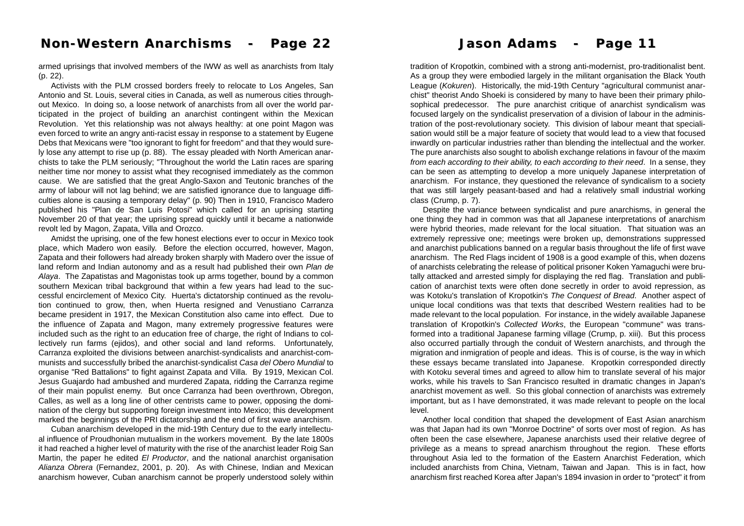armed uprisings that involved members of the IWW as well as anarchists from Italy (p. 22).

Activists with the PLM crossed borders freely to relocate to Los Angeles, San Antonio and St. Louis, several cities in Canada, as well as numerous cities throughout Mexico. In doing so, a loose network of anarchists from all over the world participated in the project of building an anarchist contingent within the Mexican Revolution. Yet this relationship was not always healthy: at one point Magon was even forced to write an angry anti-racist essay in response to a statement by Eugene Debs that Mexicans were "too ignorant to fight for freedom" and that they would surely lose any attempt to rise up (p. 88). The essay pleaded with North American anarchists to take the PLM seriously; "Throughout the world the Latin races are sparing neither time nor money to assist what they recognised immediately as the common cause. We are satisfied that the great Anglo-Saxon and Teutonic branches of the army of labour will not lag behind; we are satisfied ignorance due to language difficulties alone is causing a temporary delay" (p. 90) Then in 1910, Francisco Madero published his "Plan de San Luis Potosi" which called for an uprising starting November 20 of that year; the uprising spread quickly until it became a nationwide revolt led by Magon, Zapata, Villa and Orozco.

Amidst the uprising, one of the few honest elections ever to occur in Mexico took place, which Madero won easily. Before the election occurred, however, Magon, Zapata and their followers had already broken sharply with Madero over the issue of land reform and Indian autonomy and as a result had published their own *Plan de Alaya*. The Zapatistas and Magonistas took up arms together, bound by a common southern Mexican tribal background that within a few years had lead to the successful encirclement of Mexico City. Huerta's dictatorship continued as the revolution continued to grow, then, when Huerta resigned and Venustiano Carranza became president in 1917, the Mexican Constitution also came into effect. Due to the influence of Zapata and Magon, many extremely progressive features were included such as the right to an education free of charge, the right of Indians to collectively run farms (ejidos), and other social and land reforms. Unfortunately, Carranza exploited the divisions between anarchist-syndicalists and anarchist-communists and successfully bribed the anarchist-syndicalist *Casa del Obero Mundial* to organise "Red Battalions" to fight against Zapata and Villa. By 1919, Mexican Col. Jesus Guajardo had ambushed and murdered Zapata, ridding the Carranza regime of their main populist enemy. But once Carranza had been overthrown, Obregon, Calles, as well as a long line of other centrists came to power, opposing the domination of the clergy but supporting foreign investment into Mexico; this development marked the beginnings of the PRI dictatorship and the end of first wave anarchism.

Cuban anarchism developed in the mid-19th Century due to the early intellectual influence of Proudhonian mutualism in the workers movement. By the late 1800s it had reached a higher level of maturity with the rise of the anarchist leader Roig San Martin, the paper he edited *El Productor*, and the national anarchist organisation *Alianza Obrera* (Fernandez, 2001, p. 20). As with Chinese, Indian and Mexican anarchism however, Cuban anarchism cannot be properly understood solely within

tradition of Kropotkin, combined with a strong anti-modernist, pro-traditionalist bent. As a group they were embodied largely in the militant organisation the Black Youth League (*Kokuren*). Historically, the mid-19th Century "agricultural communist anarchist" theorist Ando Shoeki is considered by many to have been their primary philosophical predecessor. The pure anarchist critique of anarchist syndicalism was focused largely on the syndicalist preservation of a division of labour in the administration of the post-revolutionary society. This division of labour meant that specialisation would still be a major feature of society that would lead to a view that focused inwardly on particular industries rather than blending the intellectual and the worker. The pure anarchists also sought to abolish exchange relations in favour of the maxim *from each according to their ability, to each according to their need*. In a sense, they can be seen as attempting to develop a more uniquely Japanese interpretation of anarchism. For instance, they questioned the relevance of syndicalism to a society that was still largely peasant-based and had a relatively small industrial working class (Crump, p. 7).

Despite the variance between syndicalist and pure anarchisms, in general the one thing they had in common was that all Japanese interpretations of anarchism were hybrid theories, made relevant for the local situation. That situation was an extremely repressive one; meetings were broken up, demonstrations suppressed and anarchist publications banned on a regular basis throughout the life of first wave anarchism. The Red Flags incident of 1908 is a good example of this, when dozens of anarchists celebrating the release of political prisoner Koken Yamaguchi were brutally attacked and arrested simply for displaying the red flag. Translation and publication of anarchist texts were often done secretly in order to avoid repression, as was Kotoku's translation of Kropotkin's *The Conquest of Bread*. Another aspect of unique local conditions was that texts that described Western realities had to be made relevant to the local population. For instance, in the widely available Japanese translation of Kropotkin's *Collected Works*, the European "commune" was transformed into a traditional Japanese farming village (Crump, p. xiii). But this process also occurred partially through the conduit of Western anarchists, and through the migration and inmigration of people and ideas. This is of course, is the way in which these essays became translated into Japanese. Kropotkin corresponded directly with Kotoku several times and agreed to allow him to translate several of his major works, while his travels to San Francisco resulted in dramatic changes in Japan's anarchist movement as well. So this global connection of anarchists was extremely important, but as I have demonstrated, it was made relevant to people on the local level.

Another local condition that shaped the development of East Asian anarchism was that Japan had its own "Monroe Doctrine" of sorts over most of region. As has often been the case elsewhere, Japanese anarchists used their relative degree of privilege as a means to spread anarchism throughout the region. These efforts throughout Asia led to the formation of the Eastern Anarchist Federation, which included anarchists from China, Vietnam, Taiwan and Japan. This is in fact, how anarchism first reached Korea after Japan's 1894 invasion in order to "protect" it from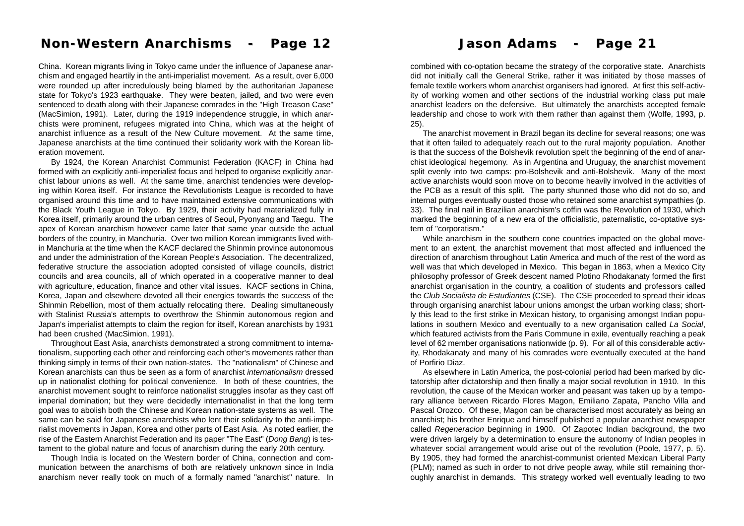# **Non-Western Anarchisms - Page 12 Non-Western Anarchisms - Page 12**

China. Korean migrants living in Tokyo came under the influence of Japanese anarchism and engaged heartily in the anti-imperialist movement. As a result, over 6,000 were rounded up after incredulously being blamed by the authoritarian Japanese state for Tokyo's 1923 earthquake. They were beaten, jailed, and two were even sentenced to death along with their Japanese comrades in the "High Treason Case" (MacSimion, 1991). Later, during the 1919 independence struggle, in which anarchists were prominent, refugees migrated into China, which was at the height of anarchist influence as a result of the New Culture movement. At the same time, Japanese anarchists at the time continued their solidarity work with the Korean liberation movement.

By 1924, the Korean Anarchist Communist Federation (KACF) in China had formed with an explicitly anti-imperialist focus and helped to organise explicitly anarchist labour unions as well. At the same time, anarchist tendencies were developing within Korea itself. For instance the Revolutionists League is recorded to have organised around this time and to have maintained extensive communications with the Black Youth League in Tokyo. By 1929, their activity had materialized fully in Korea itself, primarily around the urban centres of Seoul, Pyonyang and Taegu. The apex of Korean anarchism however came later that same year outside the actual borders of the country, in Manchuria. Over two million Korean immigrants lived within Manchuria at the time when the KACF declared the Shinmin province autonomous and under the administration of the Korean People's Association. The decentralized, federative structure the association adopted consisted of village councils, district councils and area councils, all of which operated in a cooperative manner to deal with agriculture, education, finance and other vital issues. KACF sections in China, Korea, Japan and elsewhere devoted all their energies towards the success of the Shinmin Rebellion, most of them actually relocating there. Dealing simultaneously with Stalinist Russia's attempts to overthrow the Shinmin autonomous region and Japan's imperialist attempts to claim the region for itself, Korean anarchists by 1931 had been crushed (MacSimion, 1991).

Throughout East Asia, anarchists demonstrated a strong commitment to internationalism, supporting each other and reinforcing each other's movements rather than thinking simply in terms of their own nation-states. The "nationalism" of Chinese and Korean anarchists can thus be seen as a form of anarchist *internationalism* dressed up in nationalist clothing for political convenience. In both of these countries, the anarchist movement sought to reinforce nationalist struggles insofar as they cast off imperial domination; but they were decidedly internationalist in that the long term goal was to abolish both the Chinese and Korean nation-state systems as well. The same can be said for Japanese anarchists who lent their solidarity to the anti-imperialist movements in Japan, Korea and other parts of East Asia. As noted earlier, the rise of the Eastern Anarchist Federation and its paper "The East" (*Dong Bang*) is testament to the global nature and focus of anarchism during the early 20th century.

Though India is located on the Western border of China, connection and communication between the anarchisms of both are relatively unknown since in India anarchism never really took on much of a formally named "anarchist" nature. In

### **Jason Adams - Page 21 Jason Adams - Page 21**

combined with co-optation became the strategy of the corporative state. Anarchists did not initially call the General Strike, rather it was initiated by those masses of female textile workers whom anarchist organisers had ignored. At first this self-activity of working women and other sections of the industrial working class put male anarchist leaders on the defensive. But ultimately the anarchists accepted female leadership and chose to work with them rather than against them (Wolfe, 1993, p. 25).

The anarchist movement in Brazil began its decline for several reasons; one was that it often failed to adequately reach out to the rural majority population. Another is that the success of the Bolshevik revolution spelt the beginning of the end of anarchist ideological hegemony. As in Argentina and Uruguay, the anarchist movement split evenly into two camps: pro-Bolshevik and anti-Bolshevik. Many of the most active anarchists would soon move on to become heavily involved in the activities of the PCB as a result of this split. The party shunned those who did not do so, and internal purges eventually ousted those who retained some anarchist sympathies (p. 33). The final nail in Brazilian anarchism's coffin was the Revolution of 1930, which marked the beginning of a new era of the officialistic, paternalistic, co-optative system of "corporatism."

While anarchism in the southern cone countries impacted on the global movement to an extent, the anarchist movement that most affected and influenced the direction of anarchism throughout Latin America and much of the rest of the word as well was that which developed in Mexico. This began in 1863, when a Mexico City philosophy professor of Greek descent named Plotino Rhodakanaty formed the first anarchist organisation in the country, a coalition of students and professors called the *Club Socialista de Estudiantes* (CSE). The CSE proceeded to spread their ideas through organising anarchist labour unions amongst the urban working class; shortly this lead to the first strike in Mexican history, to organising amongst Indian populations in southern Mexico and eventually to a new organisation called *La Social*, which featured activists from the Paris Commune in exile, eventually reaching a peak level of 62 member organisations nationwide (p. 9). For all of this considerable activity, Rhodakanaty and many of his comrades were eventually executed at the hand of Porfirio Diaz.

As elsewhere in Latin America, the post-colonial period had been marked by dictatorship after dictatorship and then finally a major social revolution in 1910. In this revolution, the cause of the Mexican worker and peasant was taken up by a temporary alliance between Ricardo Flores Magon, Emiliano Zapata, Pancho Villa and Pascal Orozco. Of these, Magon can be characterised most accurately as being an anarchist; his brother Enrique and himself published a popular anarchist newspaper called *Regeneracion* beginning in 1900. Of Zapotec Indian background, the two were driven largely by a determination to ensure the autonomy of Indian peoples in whatever social arrangement would arise out of the revolution (Poole, 1977, p. 5). By 1905, they had formed the anarchist-communist oriented Mexican Liberal Party (PLM); named as such in order to not drive people away, while still remaining thoroughly anarchist in demands. This strategy worked well eventually leading to two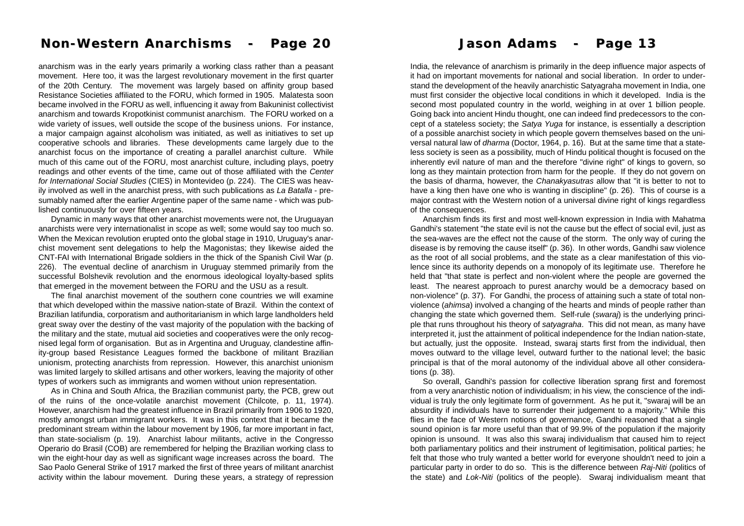### **Non-Western Anarchisms - Page 20 Non-Western Anarchisms - Page 20 Jason Adams - Page 13 Jason Adams - Page 13**

anarchism was in the early years primarily a working class rather than a peasant movement. Here too, it was the largest revolutionary movement in the first quarter of the 20th Century. The movement was largely based on affinity group based Resistance Societies affiliated to the FORU, which formed in 1905. Malatesta soon became involved in the FORU as well, influencing it away from Bakuninist collectivist anarchism and towards Kropotkinist communist anarchism. The FORU worked on a wide variety of issues, well outside the scope of the business unions. For instance, a major campaign against alcoholism was initiated, as well as initiatives to set up cooperative schools and libraries. These developments came largely due to the anarchist focus on the importance of creating a parallel anarchist culture. While much of this came out of the FORU, most anarchist culture, including plays, poetry readings and other events of the time, came out of those affiliated with the *Center for International Social Studies* (CIES) in Montevideo (p. 224). The CIES was heavily involved as well in the anarchist press, with such publications as *La Batalla* - presumably named after the earlier Argentine paper of the same name - which was published continuously for over fifteen years.

Dynamic in many ways that other anarchist movements were not, the Uruguayan anarchists were very internationalist in scope as well; some would say too much so. When the Mexican revolution erupted onto the global stage in 1910, Uruguay's anarchist movement sent delegations to help the Magonistas; they likewise aided the CNT-FAI with International Brigade soldiers in the thick of the Spanish Civil War (p. 226). The eventual decline of anarchism in Uruguay stemmed primarily from the successful Bolshevik revolution and the enormous ideological loyalty-based splits that emerged in the movement between the FORU and the USU as a result.

The final anarchist movement of the southern cone countries we will examine that which developed within the massive nation-state of Brazil. Within the context of Brazilian latifundia, corporatism and authoritarianism in which large landholders held great sway over the destiny of the vast majority of the population with the backing of the military and the state, mutual aid societies and cooperatives were the only recognised legal form of organisation. But as in Argentina and Uruguay, clandestine affinity-group based Resistance Leagues formed the backbone of militant Brazilian unionism, protecting anarchists from repression. However, this anarchist unionism was limited largely to skilled artisans and other workers, leaving the majority of other types of workers such as immigrants and women without union representation.

As in China and South Africa, the Brazilian communist party, the PCB, grew out of the ruins of the once-volatile anarchist movement (Chilcote, p. 11, 1974). However, anarchism had the greatest influence in Brazil primarily from 1906 to 1920, mostly amongst urban immigrant workers. It was in this context that it became the predominant stream within the labour movement by 1906, far more important in fact, than state-socialism (p. 19). Anarchist labour militants, active in the Congresso Operario do Brasil (COB) are remembered for helping the Brazilian working class to win the eight-hour day as well as significant wage increases across the board. The Sao Paolo General Strike of 1917 marked the first of three years of militant anarchist activity within the labour movement. During these years, a strategy of repression

India, the relevance of anarchism is primarily in the deep influence major aspects of it had on important movements for national and social liberation. In order to understand the development of the heavily anarchistic Satyagraha movement in India, one must first consider the objective local conditions in which it developed. India is the second most populated country in the world, weighing in at over 1 billion people. Going back into ancient Hindu thought, one can indeed find predecessors to the concept of a stateless society; the *Satya Yuga* for instance, is essentially a description of a possible anarchist society in which people govern themselves based on the universal natural law of *dharma* (Doctor, 1964, p. 16). But at the same time that a stateless society is seen as a possibility, much of Hindu political thought is focused on the inherently evil nature of man and the therefore "divine right" of kings to govern, so long as they maintain protection from harm for the people. If they do not govern on the basis of dharma, however, the *Chanakyasutras* allow that "it is better to not to have a king then have one who is wanting in discipline" (p. 26). This of course is a major contrast with the Western notion of a universal divine right of kings regardless of the consequences.

Anarchism finds its first and most well-known expression in India with Mahatma Gandhi's statement "the state evil is not the cause but the effect of social evil, just as the sea-waves are the effect not the cause of the storm. The only way of curing the disease is by removing the cause itself" (p. 36). In other words, Gandhi saw violence as the root of all social problems, and the state as a clear manifestation of this violence since its authority depends on a monopoly of its legitimate use. Therefore he held that "that state is perfect and non-violent where the people are governed the least. The nearest approach to purest anarchy would be a democracy based on non-violence" (p. 37). For Gandhi, the process of attaining such a state of total nonviolence (*ahimsa*) involved a changing of the hearts and minds of people rather than changing the state which governed them. Self-rule (*swaraj*) is the underlying principle that runs throughout his theory of *satyagraha*. This did not mean, as many have interpreted it, just the attainment of political independence for the Indian nation-state, but actually, just the opposite. Instead, swaraj starts first from the individual, then moves outward to the village level, outward further to the national level; the basic principal is that of the moral autonomy of the individual above all other considerations (p. 38).

So overall, Gandhi's passion for collective liberation sprang first and foremost from a very anarchistic notion of individualism; in his view, the conscience of the individual is truly the only legitimate form of government. As he put it, "swaraj will be an absurdity if individuals have to surrender their judgement to a majority." While this flies in the face of Western notions of governance, Gandhi reasoned that a single sound opinion is far more useful than that of 99.9% of the population if the majority opinion is unsound. It was also this swaraj individualism that caused him to reject both parliamentary politics and their instrument of legitimisation, political parties; he felt that those who truly wanted a better world for everyone shouldn't need to join a particular party in order to do so. This is the difference between *Raj-Niti* (politics of the state) and *Lok-Niti* (politics of the people). Swaraj individualism meant that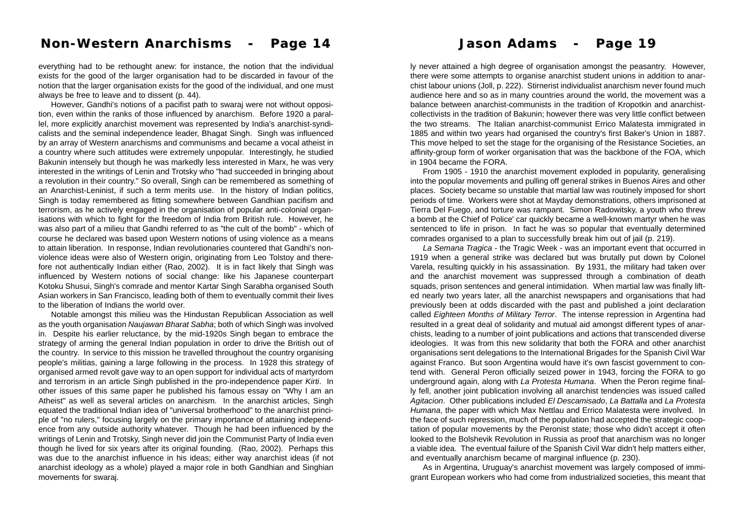# **Non-Western Anarchisms - Page 14 Non-Western Anarchisms - Page 14 Jason Adams - Page 19 Jason Adams - Page 19**

everything had to be rethought anew: for instance, the notion that the individual exists for the good of the larger organisation had to be discarded in favour of the notion that the larger organisation exists for the good of the individual, and one must always be free to leave and to dissent (p. 44).

However, Gandhi's notions of a pacifist path to swaraj were not without opposition, even within the ranks of those influenced by anarchism. Before 1920 a parallel, more explicitly anarchist movement was represented by India's anarchist-syndicalists and the seminal independence leader, Bhagat Singh. Singh was influenced by an array of Western anarchisms and communisms and became a vocal atheist in a country where such attitudes were extremely unpopular. Interestingly, he studied Bakunin intensely but though he was markedly less interested in Marx, he was very interested in the writings of Lenin and Trotsky who "had succeeded in bringing about a revolution in their country." So overall, Singh can be remembered as something of an Anarchist-Leninist, if such a term merits use. In the history of Indian politics, Singh is today remembered as fitting somewhere between Gandhian pacifism and terrorism, as he actively engaged in the organisation of popular anti-colonial organisations with which to fight for the freedom of India from British rule. However, he was also part of a milieu that Gandhi referred to as "the cult of the bomb" - which of course he declared was based upon Western notions of using violence as a means to attain liberation. In response, Indian revolutionaries countered that Gandhi's nonviolence ideas were also of Western origin, originating from Leo Tolstoy and therefore not authentically Indian either (Rao, 2002). It is in fact likely that Singh was influenced by Western notions of social change: like his Japanese counterpart Kotoku Shusui, Singh's comrade and mentor Kartar Singh Sarabha organised South Asian workers in San Francisco, leading both of them to eventually commit their lives to the liberation of Indians the world over.

Notable amongst this milieu was the Hindustan Republican Association as well as the youth organisation *Naujawan Bharat Sabha*; both of which Singh was involved in. Despite his earlier reluctance, by the mid-1920s Singh began to embrace the strategy of arming the general Indian population in order to drive the British out of the country. In service to this mission he travelled throughout the country organising people's militias, gaining a large following in the process. In 1928 this strategy of organised armed revolt gave way to an open support for individual acts of martyrdom and terrorism in an article Singh published in the pro-independence paper *Kirti*. In other issues of this same paper he published his famous essay on "Why I am an Atheist" as well as several articles on anarchism. In the anarchist articles, Singh equated the traditional Indian idea of "universal brotherhood" to the anarchist principle of "no rulers," focusing largely on the primary importance of attaining independence from any outside authority whatever. Though he had been influenced by the writings of Lenin and Trotsky, Singh never did join the Communist Party of India even though he lived for six years after its original founding. (Rao, 2002). Perhaps this was due to the anarchist influence in his ideas; either way anarchist ideas (if not anarchist ideology as a whole) played a major role in both Gandhian and Singhian movements for swaraj.

ly never attained a high degree of organisation amongst the peasantry. However, there were some attempts to organise anarchist student unions in addition to anarchist labour unions (Joll, p. 222). Stirnerist individualist anarchism never found much audience here and so as in many countries around the world, the movement was a balance between anarchist-communists in the tradition of Kropotkin and anarchistcollectivists in the tradition of Bakunin; however there was very little conflict between the two streams. The Italian anarchist-communist Errico Malatesta immigrated in 1885 and within two years had organised the country's first Baker's Union in 1887. This move helped to set the stage for the organising of the Resistance Societies, an affinity-group form of worker organisation that was the backbone of the FOA, which in 1904 became the FORA.

From 1905 - 1910 the anarchist movement exploded in popularity, generalising into the popular movements and pulling off general strikes in Buenos Aires and other places. Society became so unstable that martial law was routinely imposed for short periods of time. Workers were shot at Mayday demonstrations, others imprisoned at Tierra Del Fuego, and torture was rampant. Simon Radowitsky, a youth who threw a bomb at the Chief of Police' car quickly became a well-known martyr when he was sentenced to life in prison. In fact he was so popular that eventually determined comrades organised to a plan to successfully break him out of jail (p. 219).

*La Semana Tragica* - the Tragic Week - was an important event that occurred in 1919 when a general strike was declared but was brutally put down by Colonel Varela, resulting quickly in his assassination. By 1931, the military had taken over and the anarchist movement was suppressed through a combination of death squads, prison sentences and general intimidation. When martial law was finally lifted nearly two years later, all the anarchist newspapers and organisations that had previously been at odds discarded with the past and published a joint declaration called *Eighteen Months of Military Terror*. The intense repression in Argentina had resulted in a great deal of solidarity and mutual aid amongst different types of anarchists, leading to a number of joint publications and actions that transcended diverse ideologies. It was from this new solidarity that both the FORA and other anarchist organisations sent delegations to the International Brigades for the Spanish Civil War against Franco. But soon Argentina would have it's own fascist government to contend with. General Peron officially seized power in 1943, forcing the FORA to go underground again, along with *La Protesta Humana*. When the Peron regime finally fell, another joint publication involving all anarchist tendencies was issued called *Agitacion*. Other publications included *El Descamisado*, *La Battalla* and *La Protesta Humana*, the paper with which Max Nettlau and Errico Malatesta were involved. In the face of such repression, much of the population had accepted the strategic cooptation of popular movements by the Peronist state; those who didn't accept it often looked to the Bolshevik Revolution in Russia as proof that anarchism was no longer a viable idea. The eventual failure of the Spanish Civil War didn't help matters either, and eventually anarchism became of marginal influence (p. 230).

As in Argentina, Uruguay's anarchist movement was largely composed of immigrant European workers who had come from industrialized societies, this meant that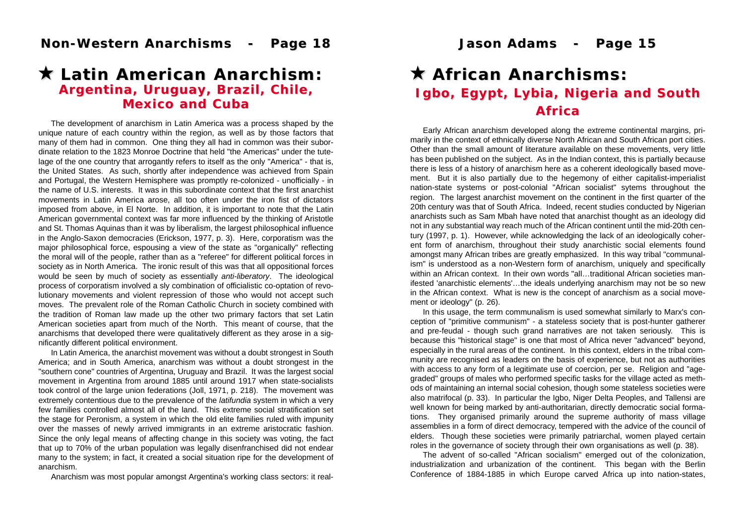# **★ Latin American Anarchism:** *Argentina, Uruguay, Brazil, Chile, Argentina, Uruguay, Brazil, Chile, Mexico and Cuba Mexico and Cuba*

The development of anarchism in Latin America was a process shaped by the unique nature of each country within the region, as well as by those factors that many of them had in common. One thing they all had in common was their subordinate relation to the 1823 Monroe Doctrine that held "the Americas" under the tutelage of the one country that arrogantly refers to itself as the only "America" - that is, the United States. As such, shortly after independence was achieved from Spain and Portugal, the Western Hemisphere was promptly re-colonized - unofficially - in the name of U.S. interests. It was in this subordinate context that the first anarchist movements in Latin America arose, all too often under the iron fist of dictators imposed from above, in El Norte. In addition, it is important to note that the Latin American governmental context was far more influenced by the thinking of Aristotle and St. Thomas Aquinas than it was by liberalism, the largest philosophical influence in the Anglo-Saxon democracies (Erickson, 1977, p. 3). Here, corporatism was the major philosophical force, espousing a view of the state as "organically" reflecting the moral will of the people, rather than as a "referee" for different political forces in society as in North America. The ironic result of this was that all oppositional forces would be seen by much of society as essentially *anti-liberatory*. The ideological process of corporatism involved a sly combination of officialistic co-optation of revolutionary movements and violent repression of those who would not accept such moves. The prevalent role of the Roman Catholic Church in society combined with the tradition of Roman law made up the other two primary factors that set Latin American societies apart from much of the North. This meant of course, that the anarchisms that developed there were qualitatively different as they arose in a significantly different political environment.

In Latin America, the anarchist movement was without a doubt strongest in South America; and in South America, anarchism was without a doubt strongest in the "southern cone" countries of Argentina, Uruguay and Brazil. It was the largest social movement in Argentina from around 1885 until around 1917 when state-socialists took control of the large union federations (Joll, 1971, p. 218). The movement was extremely contentious due to the prevalence of the *latifundia* system in which a very few families controlled almost all of the land. This extreme social stratification set the stage for Peronism, a system in which the old elite families ruled with impunity over the masses of newly arrived immigrants in an extreme aristocratic fashion. Since the only legal means of affecting change in this society was voting, the fact that up to 70% of the urban population was legally disenfranchised did not endear many to the system; in fact, it created a social situation ripe for the development of anarchism.

Anarchism was most popular amongst Argentina's working class sectors: it real-

# ! **African Anarchisms: African Anarchisms:** *Igbo, Egypt, Lybia, Nigeria and South Igbo, Egypt, Lybia, Nigeria and South Africa*

Early African anarchism developed along the extreme continental margins, primarily in the context of ethnically diverse North African and South African port cities. Other than the small amount of literature available on these movements, very little has been published on the subject. As in the Indian context, this is partially because there is less of a history of anarchism here as a coherent ideologically based movement. But it is also partially due to the hegemony of either capitalist-imperialist nation-state systems or post-colonial "African socialist" sytems throughout the region. The largest anarchist movement on the continent in the first quarter of the 20th century was that of South Africa. Indeed, recent studies conducted by Nigerian anarchists such as Sam Mbah have noted that anarchist thought as an ideology did not in any substantial way reach much of the African continent until the mid-20th century (1997, p. 1). However, while acknowledging the lack of an ideologically coherent form of anarchism, throughout their study anarchistic social elements found amongst many African tribes are greatly emphasized. In this way tribal "communalism" is understood as a non-Western form of anarchism, uniquely and specifically within an African context. In their own words "all…traditional African societies manifested 'anarchistic elements'…the ideals underlying anarchism may not be so new in the African context. What is new is the concept of anarchism as a social movement or ideology" (p. 26).

In this usage, the term communalism is used somewhat similarly to Marx's conception of "primitive communism" - a stateless society that is post-hunter gatherer and pre-feudal - though such grand narratives are not taken seriously. This is because this "historical stage" is one that most of Africa never "advanced" beyond, especially in the rural areas of the continent. In this context, elders in the tribal community are recognised as leaders on the basis of experience, but not as authorities with access to any form of a legitimate use of coercion, per se. Religion and "agegraded" groups of males who performed specific tasks for the village acted as methods of maintaining an internal social cohesion, though some stateless societies were also matrifocal (p. 33). In particular the Igbo, Niger Delta Peoples, and Tallensi are well known for being marked by anti-authoritarian, directly democratic social formations. They organised primarily around the supreme authority of mass village assemblies in a form of direct democracy, tempered with the advice of the council of elders. Though these societies were primarily patriarchal, women played certain roles in the governance of society through their own organisations as well (p. 38).

The advent of so-called "African socialism" emerged out of the colonization, industrialization and urbanization of the continent. This began with the Berlin Conference of 1884-1885 in which Europe carved Africa up into nation-states,